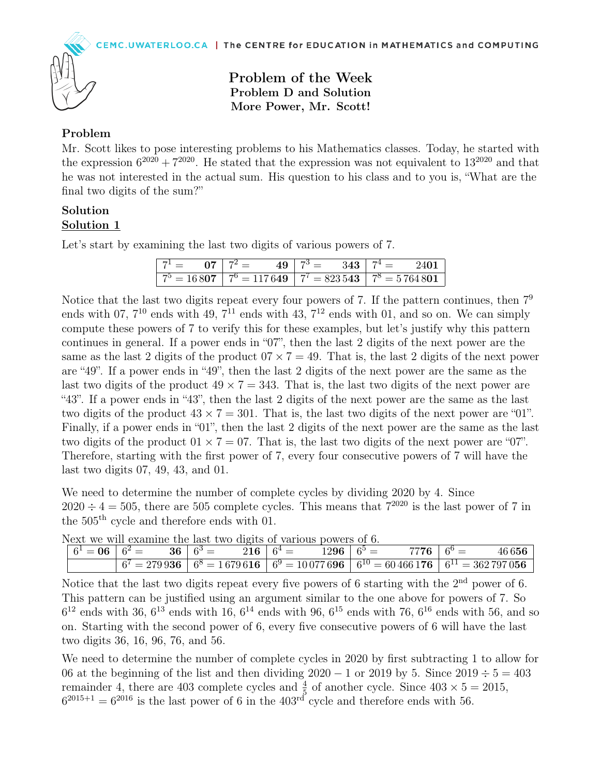

Problem of the Week Problem D and Solution More Power, Mr. Scott!

## Problem

Mr. Scott likes to pose interesting problems to his Mathematics classes. Today, he started with the expression  $6^{2020} + 7^{2020}$ . He stated that the expression was not equivalent to  $13^{2020}$  and that he was not interested in the actual sum. His question to his class and to you is, "What are the final two digits of the sum?"

## Solution Solution 1

Let's start by examining the last two digits of various powers of 7.

| $7^1 = 07 \mid 7^2 = 0$ | $49 \mid 7^3 = 343 \mid 7^4 =$ | $-240$ <sup>1</sup>                                                                         |
|-------------------------|--------------------------------|---------------------------------------------------------------------------------------------|
|                         |                                | $\boxed{7^5 = 16807}$ $\boxed{7^6 = 117649}$ $\boxed{7^7 = 823543}$ $\boxed{7^8 = 5764801}$ |

Notice that the last two digits repeat every four powers of 7. If the pattern continues, then  $7<sup>9</sup>$ ends with 07,  $7^{10}$  ends with 49,  $7^{11}$  ends with 43,  $7^{12}$  ends with 01, and so on. We can simply compute these powers of 7 to verify this for these examples, but let's justify why this pattern continues in general. If a power ends in "07", then the last 2 digits of the next power are the same as the last 2 digits of the product  $07 \times 7 = 49$ . That is, the last 2 digits of the next power are "49". If a power ends in "49", then the last 2 digits of the next power are the same as the last two digits of the product  $49 \times 7 = 343$ . That is, the last two digits of the next power are "43". If a power ends in "43", then the last 2 digits of the next power are the same as the last two digits of the product  $43 \times 7 = 301$ . That is, the last two digits of the next power are "01". Finally, if a power ends in "01", then the last 2 digits of the next power are the same as the last two digits of the product  $01 \times 7 = 07$ . That is, the last two digits of the next power are "07". Therefore, starting with the first power of 7, every four consecutive powers of 7 will have the last two digits 07, 49, 43, and 01.

We need to determine the number of complete cycles by dividing 2020 by 4. Since  $2020 \div 4 = 505$ , there are 505 complete cycles. This means that  $7^{2020}$  is the last power of 7 in the 505th cycle and therefore ends with 01.

|  |  | ricat we will cadilille tile last two digits of various powers of 0. |                                                                                                                                 |
|--|--|----------------------------------------------------------------------|---------------------------------------------------------------------------------------------------------------------------------|
|  |  |                                                                      | 46656                                                                                                                           |
|  |  |                                                                      | $\boxed{6^7 = 279936$ $\boxed{6^8 = 1679616}$ $\boxed{6^9 = 10077696}$ $\boxed{6^{10} = 60466176}$ $\boxed{6^{11} = 362797056}$ |

Next we will examine the last two digits of various powers of 6.

Notice that the last two digits repeat every five powers of 6 starting with the  $2<sup>nd</sup>$  power of 6. This pattern can be justified using an argument similar to the one above for powers of 7. So  $6^{12}$  ends with 36,  $6^{13}$  ends with 16,  $6^{14}$  ends with 96,  $6^{15}$  ends with 76,  $6^{16}$  ends with 56, and so on. Starting with the second power of 6, every five consecutive powers of 6 will have the last two digits 36, 16, 96, 76, and 56.

We need to determine the number of complete cycles in 2020 by first subtracting 1 to allow for 06 at the beginning of the list and then dividing  $2020 - 1$  or  $2019$  by 5. Since  $2019 \div 5 = 403$ remainder 4, there are 403 complete cycles and  $\frac{4}{5}$  of another cycle. Since  $403 \times 5 = 2015$ ,  $6^{2015+1} = 6^{2016}$  is the last power of 6 in the  $403<sup>rd</sup>$  cycle and therefore ends with 56.